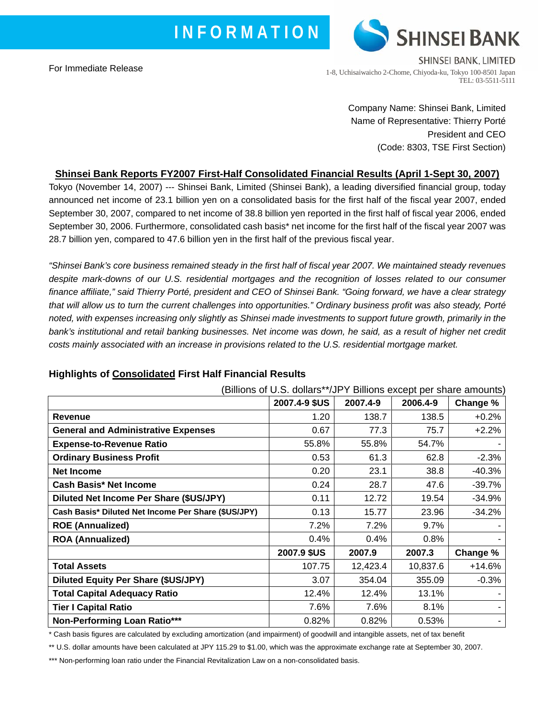For Immediate Release



1-8, Uchisaiwaicho 2-Chome, Chiyoda-ku, Tokyo 100-8501 Japan TEL: 03-5511-5111

> Company Name: Shinsei Bank, Limited Name of Representative: Thierry Porté President and CEO (Code: 8303, TSE First Section)

# **Shinsei Bank Reports FY2007 First-Half Consolidated Financial Results (April 1-Sept 30, 2007)**

Tokyo (November 14, 2007) --- Shinsei Bank, Limited (Shinsei Bank), a leading diversified financial group, today announced net income of 23.1 billion yen on a consolidated basis for the first half of the fiscal year 2007, ended September 30, 2007, compared to net income of 38.8 billion yen reported in the first half of fiscal year 2006, ended September 30, 2006. Furthermore, consolidated cash basis\* net income for the first half of the fiscal year 2007 was 28.7 billion yen, compared to 47.6 billion yen in the first half of the previous fiscal year.

*"Shinsei Bank's core business remained steady in the first half of fiscal year 2007. We maintained steady revenues despite mark-downs of our U.S. residential mortgages and the recognition of losses related to our consumer finance affiliate," said Thierry Porté, president and CEO of Shinsei Bank. "Going forward, we have a clear strategy that will allow us to turn the current challenges into opportunities." Ordinary business profit was also steady, Porté noted, with expenses increasing only slightly as Shinsei made investments to support future growth, primarily in the*  bank's institutional and retail banking businesses. Net income was down, he said, as a result of higher net credit *costs mainly associated with an increase in provisions related to the U.S. residential mortgage market.* 

| (Billions of U.S. dollars**/JPY Billions except per share amounts) |               |          |          |          |
|--------------------------------------------------------------------|---------------|----------|----------|----------|
|                                                                    | 2007.4-9 \$US | 2007.4-9 | 2006.4-9 | Change % |
| <b>Revenue</b>                                                     | 1.20          | 138.7    | 138.5    | $+0.2%$  |
| <b>General and Administrative Expenses</b>                         | 0.67          | 77.3     | 75.7     | $+2.2%$  |
| <b>Expense-to-Revenue Ratio</b>                                    | 55.8%         | 55.8%    | 54.7%    |          |
| <b>Ordinary Business Profit</b>                                    | 0.53          | 61.3     | 62.8     | $-2.3%$  |
| <b>Net Income</b>                                                  | 0.20          | 23.1     | 38.8     | -40.3%   |
| <b>Cash Basis* Net Income</b>                                      | 0.24          | 28.7     | 47.6     | -39.7%   |
| Diluted Net Income Per Share (\$US/JPY)                            | 0.11          | 12.72    | 19.54    | $-34.9%$ |
| Cash Basis* Diluted Net Income Per Share (\$US/JPY)                | 0.13          | 15.77    | 23.96    | $-34.2%$ |
| <b>ROE (Annualized)</b>                                            | 7.2%          | 7.2%     | 9.7%     |          |
| <b>ROA (Annualized)</b>                                            | 0.4%          | 0.4%     | 0.8%     |          |
|                                                                    | 2007.9 \$US   | 2007.9   | 2007.3   | Change % |
| <b>Total Assets</b>                                                | 107.75        | 12,423.4 | 10,837.6 | $+14.6%$ |
| <b>Diluted Equity Per Share (\$US/JPY)</b>                         | 3.07          | 354.04   | 355.09   | $-0.3%$  |
| <b>Total Capital Adequacy Ratio</b>                                | 12.4%         | 12.4%    | 13.1%    |          |
| <b>Tier I Capital Ratio</b>                                        | 7.6%          | 7.6%     | 8.1%     |          |
| Non-Performing Loan Ratio***                                       | 0.82%         | 0.82%    | 0.53%    |          |

# **Highlights of Consolidated First Half Financial Results**

\* Cash basis figures are calculated by excluding amortization (and impairment) of goodwill and intangible assets, net of tax benefit

\*\* U.S. dollar amounts have been calculated at JPY 115.29 to \$1.00, which was the approximate exchange rate at September 30, 2007.

\*\*\* Non-performing loan ratio under the Financial Revitalization Law on a non-consolidated basis.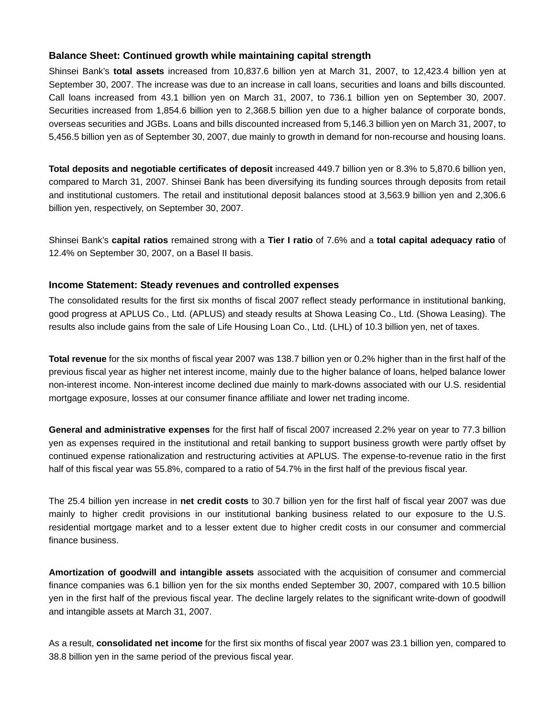## **Balance Sheet: Continued growth while maintaining capital strength**

Shinsei Bank's **total assets** increased from 10,837.6 billion yen at March 31, 2007, to 12,423.4 billion yen at September 30, 2007. The increase was due to an increase in call loans, securities and loans and bills discounted. Call loans increased from 43.1 billion yen on March 31, 2007, to 736.1 billion yen on September 30, 2007. Securities increased from 1,854.6 billion yen to 2,368.5 billion yen due to a higher balance of corporate bonds, overseas securities and JGBs. Loans and bills discounted increased from 5,146.3 billion yen on March 31, 2007, to 5,456.5 billion yen as of September 30, 2007, due mainly to growth in demand for non-recourse and housing loans.

**Total deposits and negotiable certificates of deposit** increased 449.7 billion yen or 8.3% to 5,870.6 billion yen, compared to March 31, 2007. Shinsei Bank has been diversifying its funding sources through deposits from retail and institutional customers. The retail and institutional deposit balances stood at 3,563.9 billion yen and 2,306.6 billion yen, respectively, on September 30, 2007.

Shinsei Bank's **capital ratios** remained strong with a **Tier I ratio** of 7.6% and a **total capital adequacy ratio** of 12.4% on September 30, 2007, on a Basel II basis.

#### **Income Statement: Steady revenues and controlled expenses**

The consolidated results for the first six months of fiscal 2007 reflect steady performance in institutional banking, good progress at APLUS Co., Ltd. (APLUS) and steady results at Showa Leasing Co., Ltd. (Showa Leasing). The results also include gains from the sale of Life Housing Loan Co., Ltd. (LHL) of 10.3 billion yen, net of taxes.

**Total revenue** for the six months of fiscal year 2007 was 138.7 billion yen or 0.2% higher than in the first half of the previous fiscal year as higher net interest income, mainly due to the higher balance of loans, helped balance lower non-interest income. Non-interest income declined due mainly to mark-downs associated with our U.S. residential mortgage exposure, losses at our consumer finance affiliate and lower net trading income.

**General and administrative expenses** for the first half of fiscal 2007 increased 2.2% year on year to 77.3 billion yen as expenses required in the institutional and retail banking to support business growth were partly offset by continued expense rationalization and restructuring activities at APLUS. The expense-to-revenue ratio in the first half of this fiscal year was 55.8%, compared to a ratio of 54.7% in the first half of the previous fiscal year.

The 25.4 billion yen increase in **net credit costs** to 30.7 billion yen for the first half of fiscal year 2007 was due mainly to higher credit provisions in our institutional banking business related to our exposure to the U.S. residential mortgage market and to a lesser extent due to higher credit costs in our consumer and commercial finance business.

**Amortization of goodwill and intangible assets** associated with the acquisition of consumer and commercial finance companies was 6.1 billion yen for the six months ended September 30, 2007, compared with 10.5 billion yen in the first half of the previous fiscal year. The decline largely relates to the significant write-down of goodwill and intangible assets at March 31, 2007.

As a result, **consolidated net income** for the first six months of fiscal year 2007 was 23.1 billion yen, compared to 38.8 billion yen in the same period of the previous fiscal year.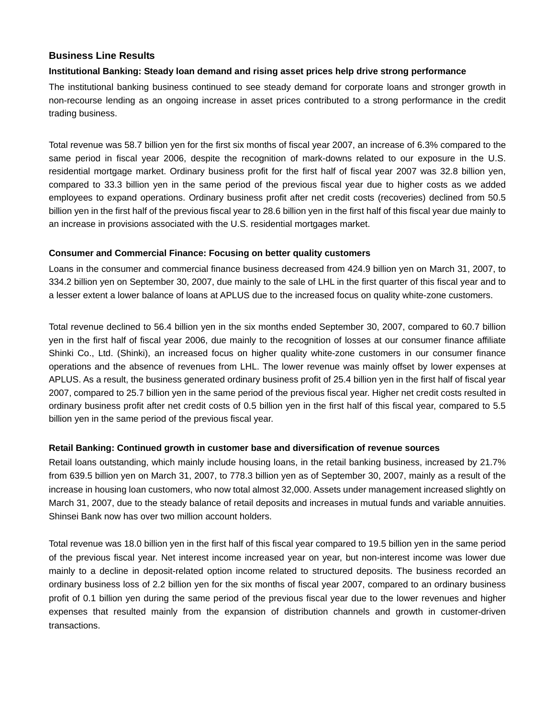## **Business Line Results**

#### **Institutional Banking: Steady loan demand and rising asset prices help drive strong performance**

The institutional banking business continued to see steady demand for corporate loans and stronger growth in non-recourse lending as an ongoing increase in asset prices contributed to a strong performance in the credit trading business.

Total revenue was 58.7 billion yen for the first six months of fiscal year 2007, an increase of 6.3% compared to the same period in fiscal year 2006, despite the recognition of mark-downs related to our exposure in the U.S. residential mortgage market. Ordinary business profit for the first half of fiscal year 2007 was 32.8 billion yen, compared to 33.3 billion yen in the same period of the previous fiscal year due to higher costs as we added employees to expand operations. Ordinary business profit after net credit costs (recoveries) declined from 50.5 billion yen in the first half of the previous fiscal year to 28.6 billion yen in the first half of this fiscal year due mainly to an increase in provisions associated with the U.S. residential mortgages market.

#### **Consumer and Commercial Finance: Focusing on better quality customers**

Loans in the consumer and commercial finance business decreased from 424.9 billion yen on March 31, 2007, to 334.2 billion yen on September 30, 2007, due mainly to the sale of LHL in the first quarter of this fiscal year and to a lesser extent a lower balance of loans at APLUS due to the increased focus on quality white-zone customers.

Total revenue declined to 56.4 billion yen in the six months ended September 30, 2007, compared to 60.7 billion yen in the first half of fiscal year 2006, due mainly to the recognition of losses at our consumer finance affiliate Shinki Co., Ltd. (Shinki), an increased focus on higher quality white-zone customers in our consumer finance operations and the absence of revenues from LHL. The lower revenue was mainly offset by lower expenses at APLUS. As a result, the business generated ordinary business profit of 25.4 billion yen in the first half of fiscal year 2007, compared to 25.7 billion yen in the same period of the previous fiscal year. Higher net credit costs resulted in ordinary business profit after net credit costs of 0.5 billion yen in the first half of this fiscal year, compared to 5.5 billion yen in the same period of the previous fiscal year.

#### **Retail Banking: Continued growth in customer base and diversification of revenue sources**

Retail loans outstanding, which mainly include housing loans, in the retail banking business, increased by 21.7% from 639.5 billion yen on March 31, 2007, to 778.3 billion yen as of September 30, 2007, mainly as a result of the increase in housing loan customers, who now total almost 32,000. Assets under management increased slightly on March 31, 2007, due to the steady balance of retail deposits and increases in mutual funds and variable annuities. Shinsei Bank now has over two million account holders.

Total revenue was 18.0 billion yen in the first half of this fiscal year compared to 19.5 billion yen in the same period of the previous fiscal year. Net interest income increased year on year, but non-interest income was lower due mainly to a decline in deposit-related option income related to structured deposits. The business recorded an ordinary business loss of 2.2 billion yen for the six months of fiscal year 2007, compared to an ordinary business profit of 0.1 billion yen during the same period of the previous fiscal year due to the lower revenues and higher expenses that resulted mainly from the expansion of distribution channels and growth in customer-driven transactions.